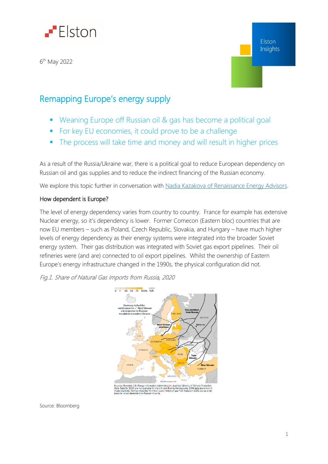

6 th May 2022

## Remapping Europe's energy supply

- Weaning Europe off Russian oil & gas has become a political goal
- For key EU economies, it could prove to be a challenge
- The process will take time and money and will result in higher prices

As a result of the Russia/Ukraine war, there is a political goal to reduce European dependency on Russian oil and gas supplies and to reduce the indirect financing of the Russian economy.

We explore this topic further in conversation with [Nadia Kazakova of Renaissance Energy Advisors.](https://www.brighttalk.com/webcast/18493/542486?utm_source=InsightsElston&utm_medium=brighttalk&utm_campaign=542486)

#### How dependent is Europe?

The level of energy dependency varies from country to country. France for example has extensive Nuclear energy, so it's dependency is lower. Former Comecon (Eastern bloc) countries that are now EU members – such as Poland, Czech Republic, Slovakia, and Hungary – have much higher levels of energy dependency as their energy systems were integrated into the broader Soviet energy system. Their gas distribution was integrated with Soviet gas export pipelines. Their oil refineries were (and are) connected to oil export pipelines. Whilst the ownership of Eastern Europe's energy infrastructure changed in the 1990s, the physical configuration did not.

#### Fig.1. Share of Natural Gas imports from Russia, 2020



rces: Eurostat, U.S. Energy Information Administration, Austria's Ministry of Clim<br>s: Data for 2020 are not available for the U.K. and Bosnia-Herzegovina, 2019 da<br>ie countries. Norway imported 10 million cubic meters of ga

Source: Bloomberg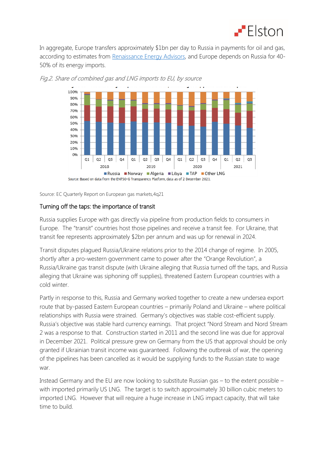

In aggregate, Europe transfers approximately \$1bn per day to Russia in payments for oil and gas, according to estimates from [Renaissance Energy Advisors,](https://www.renaissance-energyadvisors.com/) and Europe depends on Russia for 40-50% of its energy imports.





Source: EC Quarterly Report on European gas markets,4q21

#### Turning off the taps: the importance of transit

Russia supplies Europe with gas directly via pipeline from production fields to consumers in Europe. The "transit" countries host those pipelines and receive a transit fee. For Ukraine, that transit fee represents approximately \$2bn per annum and was up for renewal in 2024.

Transit disputes plagued Russia/Ukraine relations prior to the 2014 change of regime. In 2005, shortly after a pro-western government came to power after the "Orange Revolution", a Russia/Ukraine gas transit dispute (with Ukraine alleging that Russia turned off the taps, and Russia alleging that Ukraine was siphoning off supplies), threatened Eastern European countries with a cold winter.

Partly in response to this, Russia and Germany worked together to create a new undersea export route that by-passed Eastern European countries – primarily Poland and Ukraine – where political relationships with Russia were strained. Germany's objectives was stable cost-efficient supply. Russia's objective was stable hard currency earnings. That project "Nord Stream and Nord Stream 2 was a response to that. Construction started in 2011 and the second line was due for approval in December 2021. Political pressure grew on Germany from the US that approval should be only granted if Ukrainian transit income was guaranteed. Following the outbreak of war, the opening of the pipelines has been cancelled as it would be supplying funds to the Russian state to wage war.

Instead Germany and the EU are now looking to substitute Russian gas – to the extent possible – with imported primarily US LNG. The target is to switch approximately 30 billion cubic meters to imported LNG. However that will require a huge increase in LNG impact capacity, that will take time to build.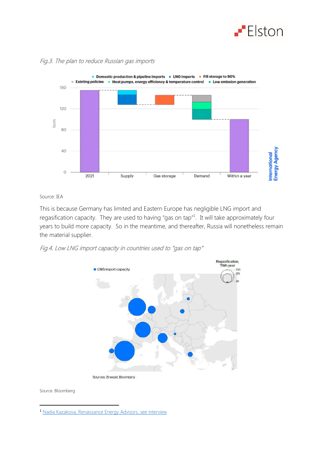



#### Fig.3. The plan to reduce Russian gas imports

Source: IEA

This is because Germany has limited and Eastern Europe has negligible LNG import and regasification capacity. They are used to having "gas on tap"<sup>1</sup>. It will take approximately four years to build more capacity. So in the meantime, and thereafter, Russia will nonetheless remain the material supplier.

Fig.4. Low LNG import capacity in countries used to "gas on tap"



Sources: Bruegel; Bloomberg

Source: Bloomberg

**.** 

<sup>1</sup> [Nadia Kazakova, Renaissance Energy Advisors, see interview](https://www.brighttalk.com/webcast/18493/542486?utm_source=InsightsElston&utm_medium=brighttalk&utm_campaign=542486)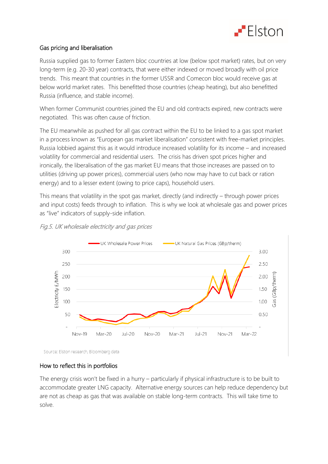

### Gas pricing and liberalisation

Russia supplied gas to former Eastern bloc countries at low (below spot market) rates, but on very long-term (e.g. 20-30 year) contracts, that were either indexed or moved broadly with oil price trends. This meant that countries in the former USSR and Comecon bloc would receive gas at below world market rates. This benefitted those countries (cheap heating), but also benefitted Russia (influence, and stable income).

When former Communist countries joined the EU and old contracts expired, new contracts were negotiated. This was often cause of friction.

The EU meanwhile as pushed for all gas contract within the EU to be linked to a gas spot market in a process known as "European gas market liberalisation" consistent with free-market principles. Russia lobbied against this as it would introduce increased volatility for its income – and increased volatility for commercial and residential users. The crisis has driven spot prices higher and ironically, the liberalisation of the gas market EU means that those increases are passed on to utilities (driving up power prices), commercial users (who now may have to cut back or ration energy) and to a lesser extent (owing to price caps), household users.

This means that volatility in the spot gas market, directly (and indirectly – through power prices and input costs) feeds through to inflation. This is why we look at wholesale gas and power prices as "live" indicators of supply-side inflation.



### Fig.5. UK wholesale electricity and gas prices

Source: Elston research, Bloomberg data

#### How to reflect this in portfolios

The energy crisis won't be fixed in a hurry – particularly if physical infrastructure is to be built to accommodate greater LNG capacity. Alternative energy sources can help reduce dependency but are not as cheap as gas that was available on stable long-term contracts. This will take time to solve.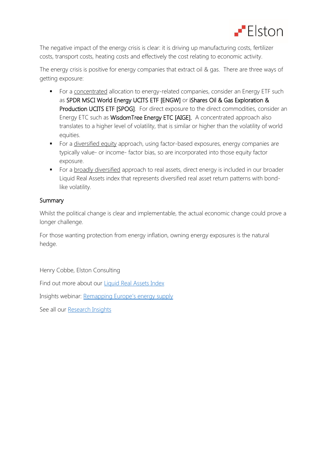

The negative impact of the energy crisis is clear: it is driving up manufacturing costs, fertilizer costs, transport costs, heating costs and effectively the cost relating to economic activity.

The energy crisis is positive for energy companies that extract oil & gas. There are three ways of getting exposure:

- For a concentrated allocation to energy-related companies, consider an Energy ETF such as SPDR MSCI World Energy UCITS ETF [ENGW] or iShares Oil & Gas Exploration & Production UCITS ETF [SPOG]. For direct exposure to the direct commodities, consider an Energy ETC such as WisdomTree Energy ETC [AIGE]. A concentrated approach also translates to a higher level of volatility, that is similar or higher than the volatility of world equities.
- For a diversified equity approach, using factor-based exposures, energy companies are typically value- or income- factor bias, so are incorporated into those equity factor exposure.
- For a broadly diversified approach to real assets, direct energy is included in our broader Liquid Real Assets index that represents diversified real asset return patterns with bondlike volatility.

#### **Summary**

Whilst the political change is clear and implementable, the actual economic change could prove a longer challenge.

For those wanting protection from energy inflation, owning energy exposures is the natural hedge.

Henry Cobbe, Elston Consulting

Find out more about our [Liquid Real Assets Index](https://www.elstonsolutions.co.uk/liquid-real-assets.html)

Insights webinar: Remapping Europe's [energy](https://www.brighttalk.com/webcast/18493/542486?utm_source=InsightsElston&utm_medium=brighttalk&utm_campaign=542486) supply

See all our [Research Insights](https://www.elstonsolutions.co.uk/insights)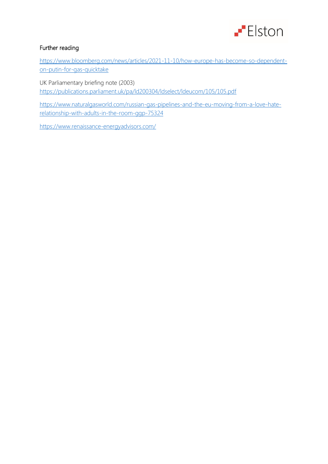

## Further reading

[https://www.bloomberg.com/news/articles/2021-11-10/how-europe-has-become-so-dependent](https://www.bloomberg.com/news/articles/2021-11-10/how-europe-has-become-so-dependent-on-putin-for-gas-quicktake)[on-putin-for-gas-quicktake](https://www.bloomberg.com/news/articles/2021-11-10/how-europe-has-become-so-dependent-on-putin-for-gas-quicktake)

UK Parliamentary briefing note (2003) <https://publications.parliament.uk/pa/ld200304/ldselect/ldeucom/105/105.pdf>

[https://www.naturalgasworld.com/russian-gas-pipelines-and-the-eu-moving-from-a-love-hate](https://www.naturalgasworld.com/russian-gas-pipelines-and-the-eu-moving-from-a-love-hate-relationship-with-adults-in-the-room-ggp-75324)[relationship-with-adults-in-the-room-ggp-75324](https://www.naturalgasworld.com/russian-gas-pipelines-and-the-eu-moving-from-a-love-hate-relationship-with-adults-in-the-room-ggp-75324)

<https://www.renaissance-energyadvisors.com/>